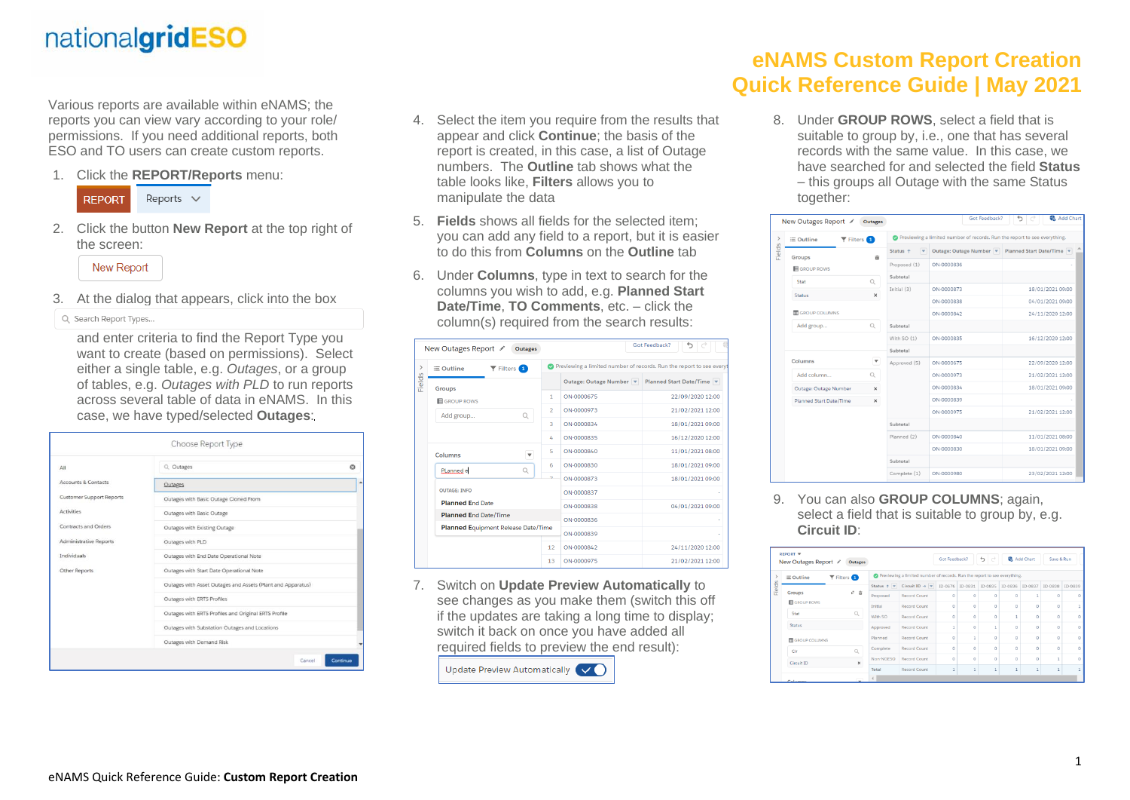## nationalgridESO

Various reports are available within eNAMS; the reports you can view vary according to your role/ permissions. If you need additional reports, both ESO and TO users can create custom reports.

1. Click the **REPORT/Reports** menu:



2. Click the button **New Report** at the top right of the screen:

**New Report** 

3. At the dialog that appears, click into the box

Q Search Report Types...

and enter criteria to find the Report Type you want to create (based on permissions). Select either a single table, e.g. *Outages*, or a group of tables, e.g. *Outages with PLD* to run reports across several table of data in eNAMS. In this case, we have typed/selected **Outages**:

| All                             | Q. Outages                                                  | $\circ$ |  |  |  |  |  |
|---------------------------------|-------------------------------------------------------------|---------|--|--|--|--|--|
| Accounts & Contacts             | Outages                                                     |         |  |  |  |  |  |
| <b>Customer Support Reports</b> | Outages with Basic Outage Cloned From                       |         |  |  |  |  |  |
| <b>Activities</b>               | Outages with Basic Outage                                   |         |  |  |  |  |  |
| Contracts and Orders            | Outages with Existing Outage                                |         |  |  |  |  |  |
| <b>Administrative Reports</b>   | Outages with PLD                                            |         |  |  |  |  |  |
| Individuals                     | Outages with End Date Operational Note                      |         |  |  |  |  |  |
| Other Reports                   | Outages with Start Date Operational Note                    |         |  |  |  |  |  |
|                                 | Outages with Asset Outages and Assets (Plant and Apparatus) |         |  |  |  |  |  |
|                                 | Outages with ERTS Profiles                                  |         |  |  |  |  |  |
|                                 | Outages with ERTS Profiles and Original ERTS Profile        |         |  |  |  |  |  |
|                                 | Outages with Substation Outages and Locations               |         |  |  |  |  |  |
|                                 | Outages with Demand Risk                                    |         |  |  |  |  |  |

- 4. Select the item you require from the results that appear and click **Continue**; the basis of the report is created, in this case, a list of Outage numbers. The **Outline** tab shows what the table looks like, **Filters** allows you to manipulate the data
- 5. **Fields** shows all fields for the selected item; you can add any field to a report, but it is easier to do this from **Columns** on the **Outline** tab
- 6. Under **Columns**, type in text to search for the columns you wish to add, e.g. **Planned Start Date/Time**, **TO Comments**, etc. – click the column(s) required from the search results:

|        | New Outages Report ✔<br><b>Outages</b>                                  |                |                         | Got Feedback?<br>⇆                                                  |
|--------|-------------------------------------------------------------------------|----------------|-------------------------|---------------------------------------------------------------------|
| $\,$   | $\equiv$ Outline<br>$\blacktriangledown$ Filters $\boxed{\color{red}1}$ |                |                         | Previewing a limited number of records. Run the report to see every |
| Fields | <b>Groups</b>                                                           |                | Outage: Outage Number v | Planned Start Date/Time                                             |
|        | <b>E</b> GROUP ROWS                                                     | 1              | ON-0000675              | 22/09/2020 12:00                                                    |
|        | Add group<br>Q                                                          | $\overline{2}$ | ON-0000973              | 21/02/2021 12:00                                                    |
|        |                                                                         | $\overline{3}$ | ON-0000834              | 18/01/2021 09:00                                                    |
|        |                                                                         | 4              | ON-0000835              | 16/12/2020 12:00                                                    |
|        | Columns<br>$\overline{\mathbf{v}}$                                      | 5              | ON-0000840              | 11/01/2021 08:00                                                    |
|        | PLanned e<br>Q                                                          | 6              | ON-0000830              | 18/01/2021 09:00                                                    |
|        |                                                                         | ÷              | ON-0000873              | 18/01/2021 09:00                                                    |
|        | <b>OUTAGE: INFO</b>                                                     |                | ON-0000837              |                                                                     |
|        | <b>Planned End Date</b>                                                 |                | ON-0000838              | 04/01/2021 09:00                                                    |
|        | <b>Planned End Date/Time</b>                                            |                | ON-0000836              |                                                                     |
|        | <b>Planned Equipment Release Date/Time</b>                              |                | ON-0000839              |                                                                     |
|        |                                                                         | 12             | ON-0000842              | 24/11/2020 12:00                                                    |
|        |                                                                         | 13             | ON-0000975              | 21/02/2021 12:00                                                    |

7. Switch on **Update Preview Automatically** to see changes as you make them (switch this off if the updates are taking a long time to display; switch it back on once you have added all required fields to preview the end result):

Update Preview Automatically

## **eNAMS Custom Report Creation Quick Reference Guide | May 2021**

8. Under **GROUP ROWS**, select a field that is suitable to group by, i.e., one that has several records with the same value. In this case, we have searched for and selected the field **Status** – this groups all Outage with the same Status together:

|               | New Outages Report ✔                                    | Outages       |                                     | Got Feedback?                                                             | 4 Add Chart             |  |  |  |  |
|---------------|---------------------------------------------------------|---------------|-------------------------------------|---------------------------------------------------------------------------|-------------------------|--|--|--|--|
| >             | $\blacktriangledown$ Filters $\Box$<br>$\equiv$ Outline |               |                                     | Previewing a limited number of records. Run the report to see everything. |                         |  |  |  |  |
| <b>Fields</b> | Groups                                                  | 亩             | Status <sub>1</sub><br>$\mathbf{v}$ | Outage: Outage Number                                                     | Planned Start Date/Time |  |  |  |  |
|               | GROUP ROWS                                              |               | Proposed (1)                        | ON-0000836                                                                |                         |  |  |  |  |
|               | Stat                                                    | $\mathcal{Q}$ | Subtotal                            |                                                                           |                         |  |  |  |  |
|               |                                                         |               | Initial $(3)$                       | ON-0000873                                                                | 18/01/2021 09:00        |  |  |  |  |
|               | Status                                                  | x             |                                     | ON-0000838                                                                | 04/01/2021 09:00        |  |  |  |  |
|               | <b>THE GROUP COLUMNS</b>                                |               |                                     | ON-0000842                                                                | 24/11/2020 12:00        |  |  |  |  |
|               | Add group                                               | Q             | Subtotal                            |                                                                           |                         |  |  |  |  |
|               |                                                         |               | With SO (1)                         | ON-0000835                                                                | 16/12/2020 12:00        |  |  |  |  |
|               |                                                         |               | Subtotal                            |                                                                           |                         |  |  |  |  |
|               | Columns                                                 | $\mathbf{v}$  | Approved (5)                        | ON-0000675                                                                | 22/09/2020 12:00        |  |  |  |  |
|               | Add column                                              | $\mathbb Q$   |                                     | ON-0000973                                                                | 21/02/2021 12:00        |  |  |  |  |
|               | Outage: Outage Number                                   | $\times$      |                                     | ON-0000834                                                                | 18/01/2021 09:00        |  |  |  |  |
|               | Planned Start Date/Time                                 | $\times$      |                                     | <b>PERDOON-VO</b>                                                         |                         |  |  |  |  |
|               |                                                         |               |                                     | ON-0000975                                                                | 21/02/2021 12:00        |  |  |  |  |
|               |                                                         |               | Subtotal                            |                                                                           |                         |  |  |  |  |
|               |                                                         |               | Planned (2)                         | ON-0000840                                                                | 11/01/2021 08:00        |  |  |  |  |
|               |                                                         |               |                                     | ON-0000830                                                                | 18/01/2021 09:00        |  |  |  |  |
|               |                                                         |               | Subtotal                            |                                                                           |                         |  |  |  |  |
|               |                                                         |               | Complete (1)                        | ON-0000980                                                                | 23/02/2021 12:00        |  |  |  |  |
|               |                                                         |               |                                     |                                                                           |                         |  |  |  |  |

9. You can also **GROUP COLUMNS**; again, select a field that is suitable to group by, e.g. **Circuit ID**:

|        | <b>REPORT ▼</b><br>New Outages Report / | Outages                                  |                                                                           |                                                                                   | Got Feedback? |          | €<br>$\rightarrow$ | <b>Add Chart</b> |         | Save & Run |   |  |  |  |
|--------|-----------------------------------------|------------------------------------------|---------------------------------------------------------------------------|-----------------------------------------------------------------------------------|---------------|----------|--------------------|------------------|---------|------------|---|--|--|--|
|        | ≡ Outline                               | $\blacktriangledown$ Filters $\boxed{1}$ | Previewing a limited number of records. Run the report to see everything. |                                                                                   |               |          |                    |                  |         |            |   |  |  |  |
| Fields |                                         |                                          |                                                                           | Status + v Circuit ID + v ID-0676 ID-0831 ID-0835 ID-0836 ID-0837 ID-0838 ID-0839 |               |          |                    |                  |         |            |   |  |  |  |
|        | Groups                                  | v 音                                      | Proposed                                                                  | <b>Record Count</b>                                                               | $\Omega$      | $\Omega$ | $\Omega$           | $\Omega$         | 1       | $\Omega$   |   |  |  |  |
|        | GROUP ROWS                              |                                          | Initial                                                                   | <b>Record Count</b>                                                               | $\circ$       | $\circ$  | $\Omega$           | $\Omega$         | $\circ$ | $\Omega$   |   |  |  |  |
|        | Stat                                    | Q                                        |                                                                           | Record Count                                                                      | $\Omega$      | $\circ$  | $\Omega$           | 1                | $\circ$ | $\Omega$   |   |  |  |  |
|        | <b>Status</b>                           |                                          | Approved                                                                  | Record Count                                                                      | Í             | Ō        |                    | Ō                | $\circ$ | ö          | Ω |  |  |  |
|        | <b>M</b> GROUP COLUMNS                  |                                          | Planned                                                                   | <b>Record Count</b>                                                               | o             | Í        | $\circ$            | $\circ$          | $\circ$ | $\Omega$   | o |  |  |  |
|        | Cir                                     |                                          | Complete                                                                  | <b>Record Count</b>                                                               | $\circ$       | $\circ$  | $\circ$            | $\circ$          | $\circ$ | $\Omega$   | Ő |  |  |  |
|        |                                         | Circuit ID<br>$\times$                   |                                                                           | Record Count                                                                      | $\Omega$      | O        | $\Omega$           | $\Omega$         | $\circ$ |            | o |  |  |  |
|        |                                         |                                          |                                                                           | Record Count                                                                      | 1             | 1        | $\mathbf{1}$       | 1                | 1       | 1          |   |  |  |  |
|        | Columns                                 | $\cdot$                                  | $\overline{4}$                                                            |                                                                                   |               |          |                    |                  |         |            |   |  |  |  |